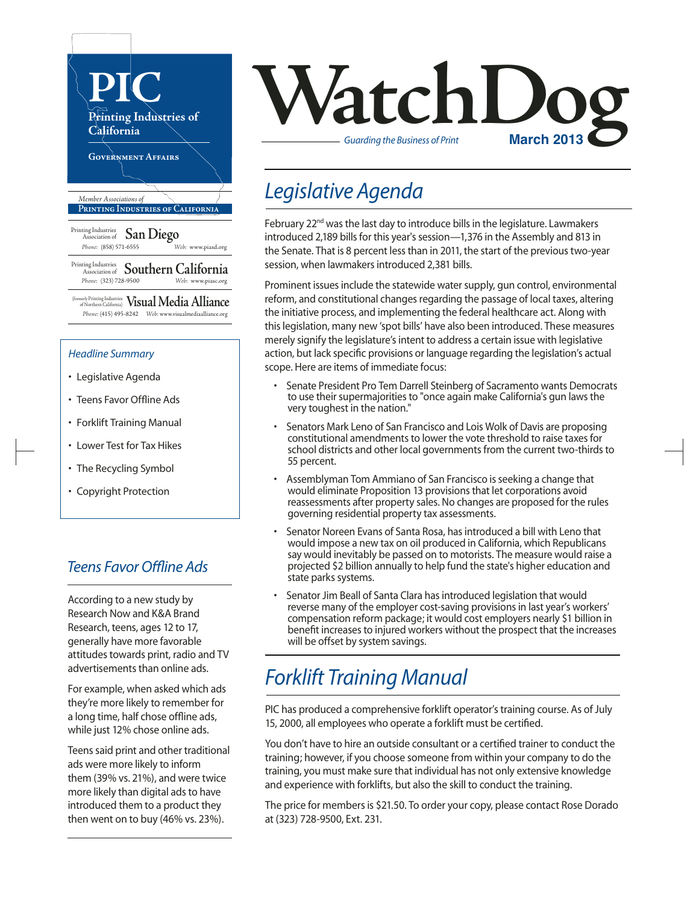

- Teens Favor Offline Ads
- Forklift Training Manual
- Lower Test for Tax Hikes
- The Recycling Symbol
- Copyright Protection

#### *Teens Favor Offline Ads*

According to a new study by Research Now and K&A Brand Research, teens, ages 12 to 17, generally have more favorable attitudes towards print, radio and TV advertisements than online ads.

For example, when asked which ads they're more likely to remember for a long time, half chose offline ads, while just 12% chose online ads.

Teens said print and other traditional ads were more likely to inform them (39% vs. 21%), and were twice more likely than digital ads to have introduced them to a product they then went on to buy (46% vs. 23%).



## *Legislative Agenda*

February 22<sup>nd</sup> was the last day to introduce bills in the legislature. Lawmakers introduced 2,189 bills for this year's session—1,376 in the Assembly and 813 in the Senate. That is 8 percent less than in 2011, the start of the previous two-year session, when lawmakers introduced 2,381 bills.

Prominent issues include the statewide water supply, gun control, environmental reform, and constitutional changes regarding the passage of local taxes, altering the initiative process, and implementing the federal healthcare act. Along with this legislation, many new 'spot bills' have also been introduced. These measures merely signify the legislature's intent to address a certain issue with legislative action, but lack specific provisions or language regarding the legislation's actual scope. Here are items of immediate focus:

- Senate President Pro Tem Darrell Steinberg of Sacramento wants Democrats to use their supermajorities to "once again make California's gun laws the very toughest in the nation."
- Senators Mark Leno of San Francisco and Lois Wolk of Davis are proposing constitutional amendments to lower the vote threshold to raise taxes for school districts and other local governments from the current two-thirds to 55 percent.
- Assemblyman Tom Ammiano of San Francisco is seeking a change that would eliminate Proposition 13 provisions that let corporations avoid reassessments after property sales. No changes are proposed for the rules governing residential property tax assessments.
- Senator Noreen Evans of Santa Rosa, has introduced a bill with Leno that would impose a new tax on oil produced in California, which Republicans say would inevitably be passed on to motorists. The measure would raise a projected \$2 billion annually to help fund the state's higher education and state parks systems.
- Senator Jim Beall of Santa Clara has introduced legislation that would reverse many of the employer cost-saving provisions in last year's workers' compensation reform package; it would cost employers nearly \$1 billion in benefit increases to injured workers without the prospect that the increases will be offset by system savings.

## *Forklift Training Manual*

PIC has produced a comprehensive forklift operator's training course. As of July 15, 2000, all employees who operate a forklift must be certified.

You don't have to hire an outside consultant or a certified trainer to conduct the training; however, if you choose someone from within your company to do the training, you must make sure that individual has not only extensive knowledge and experience with forklifts, but also the skill to conduct the training.

The price for members is \$21.50. To order your copy, please contact Rose Dorado at (323) 728-9500, Ext. 231.